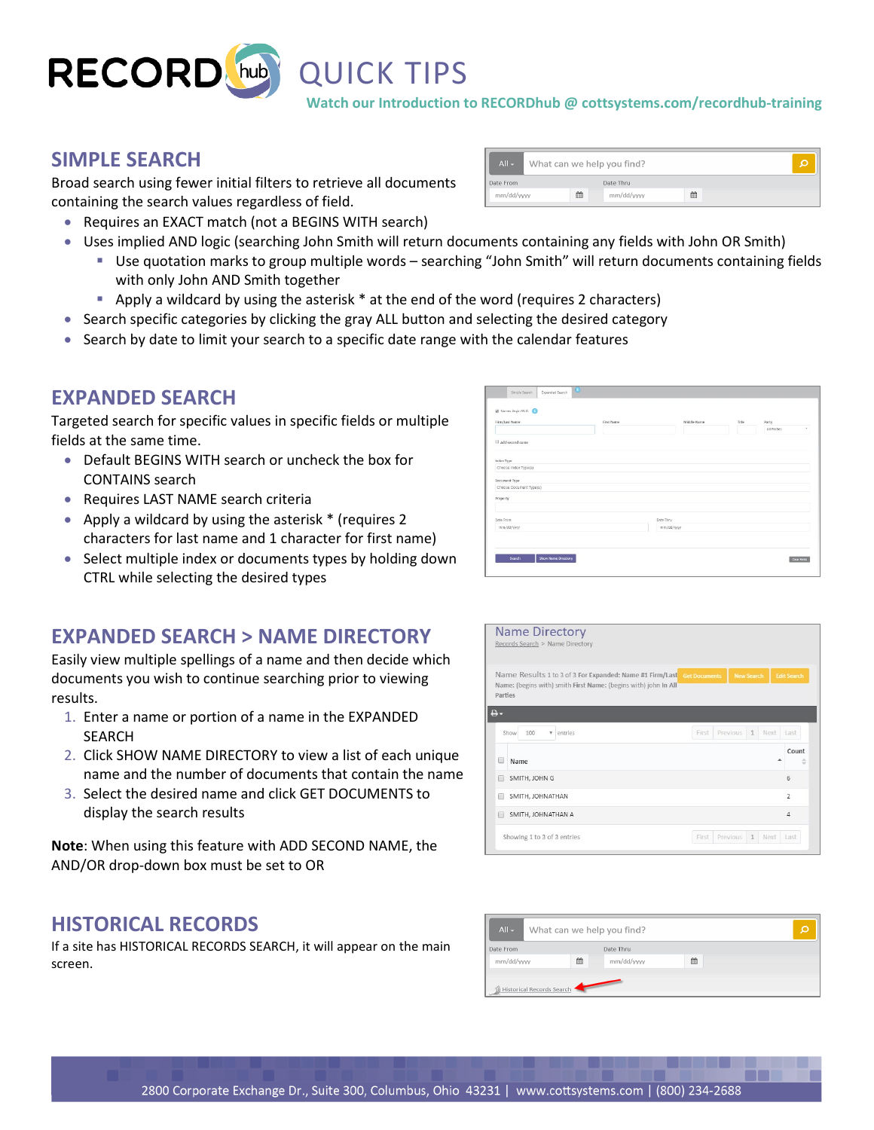

**Watch our Introduction to RECORDhub @ cottsystems.com/recordhub-training**

#### **SIMPLE SEARCH**

Broad search using fewer initial filters to retrieve all documents containing the search values regardless of field.

• Requires an EXACT match (not a BEGINS WITH search)

| $All -$    | What can we help you find? |            |   |  |
|------------|----------------------------|------------|---|--|
| Date From  |                            | Date Thru  |   |  |
| mm/dd/yyyy | 倫                          | mm/dd/yyyy | 曲 |  |
|            |                            |            |   |  |

- Uses implied AND logic (searching John Smith will return documents containing any fields with John OR Smith)
	- Use quotation marks to group multiple words searching "John Smith" will return documents containing fields with only John AND Smith together
	- Apply a wildcard by using the asterisk \* at the end of the word (requires 2 characters)
- Search specific categories by clicking the gray ALL button and selecting the desired category
- Search by date to limit your search to a specific date range with the calendar features

### **EXPANDED SEARCH**

Targeted search for specific values in specific fields or multiple fields at the same time.

- Default BEGINS WITH search or uncheck the box for CONTAINS search
- Requires LAST NAME search criteria
- Apply a wildcard by using the asterisk \* (requires 2 characters for last name and 1 character for first name)
- Select multiple index or documents types by holding down CTRL while selecting the desired types

## **EXPANDED SEARCH > NAME DIRECTORY**

Easily view multiple spellings of a name and then decide which documents you wish to continue searching prior to viewing results.

- 1. Enter a name or portion of a name in the EXPANDED SEARCH
- 2. Click SHOW NAME DIRECTORY to view a list of each unique name and the number of documents that contain the name
- 3. Select the desired name and click GET DOCUMENTS to display the search results

**Note**: When using this feature with ADD SECOND NAME, the AND/OR drop-down box must be set to OR

# **HISTORICAL RECORDS**

If a site has HISTORICAL RECORDS SEARCH, it will appear on the main screen.

|                         | First Name | Middle Name | Title | Party<br>All Parties | v |
|-------------------------|------------|-------------|-------|----------------------|---|
| Add second name         |            |             |       |                      |   |
| Index Type              |            |             |       |                      |   |
| Choose Index Type(s)    |            |             |       |                      |   |
| Document Type           |            |             |       |                      |   |
| Choose Document Type(s) |            |             |       |                      |   |
| Property                |            |             |       |                      |   |
|                         |            |             |       |                      |   |
| Date From               | Date Thru  |             |       |                      |   |
|                         |            |             |       |                      |   |

| <b>Name Directory</b><br>Records Search > Name Directory                                                                                                   |                                          |
|------------------------------------------------------------------------------------------------------------------------------------------------------------|------------------------------------------|
| Name Results 1 to 3 of 3 For Expanded: Name #1 Firm/Last Get Documents<br>Name: (begins with) smith First Name: (begins with) john In All<br>Parties<br>8. | <b>New Search</b><br><b>Edit Search</b>  |
| 100<br>Show<br>entries<br>v                                                                                                                                | Previous<br>1<br>Next  <br>First<br>Last |
| Name                                                                                                                                                       | Count<br>ô                               |
| SMITH, JOHN G                                                                                                                                              | $6\overline{6}$                          |
|                                                                                                                                                            |                                          |
| SMITH, JOHNATHAN                                                                                                                                           | $\overline{\phantom{a}}$                 |
| SMITH, JOHNATHAN A                                                                                                                                         | $\Delta$                                 |